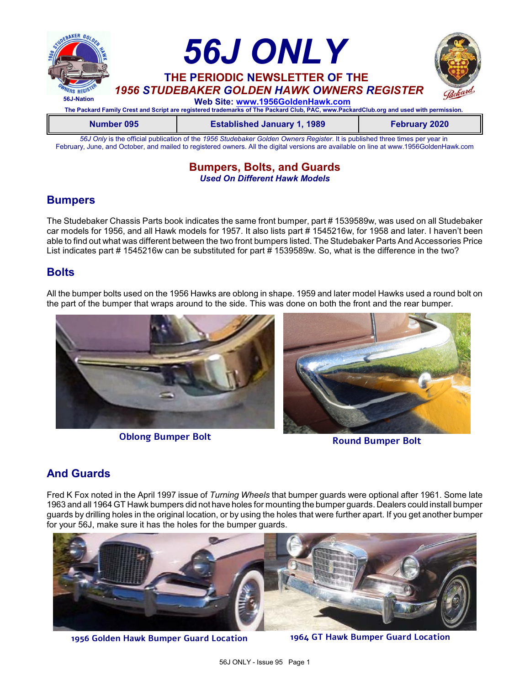

*56J Only* is the official publication of the *1956 Studebaker Golden Owners Register*. It is published three times per year in February, June, and October, and mailed to registered owners. All the digital versions are available on line at www.1956GoldenHawk.com

### **Bumpers, Bolts, and Guards** *Used On Different Hawk Models*

# **Bumpers**

The Studebaker Chassis Parts book indicates the same front bumper, part # 1539589w, was used on all Studebaker car models for 1956, and all Hawk models for 1957. It also lists part # 1545216w, for 1958 and later. I haven't been able to find out what was different between the two front bumpers listed. The Studebaker Parts And Accessories Price List indicates part # 1545216w can be substituted for part # 1539589w. So, what is the difference in the two?

# **Bolts**

All the bumper bolts used on the 1956 Hawks are oblong in shape. 1959 and later model Hawks used a round bolt on the part of the bumper that wraps around to the side. This was done on both the front and the rear bumper.



**Round Bumper Bolt Oblong Bumper Bolt**

# **And Guards**

Fred K Fox noted in the April 1997 issue of *Turning Wheels* that bumper guards were optional after 1961. Some late 1963 and all 1964 GT Hawk bumpers did not have holes for mounting the bumper guards. Dealers could install bumper guards by drilling holes in the original location, or by using the holes that were further apart. If you get another bumper for your 56J, make sure it has the holes for the bumper guards.



**1956 Golden Hawk Bumper Guard Location 1964 GT Hawk Bumper Guard Location**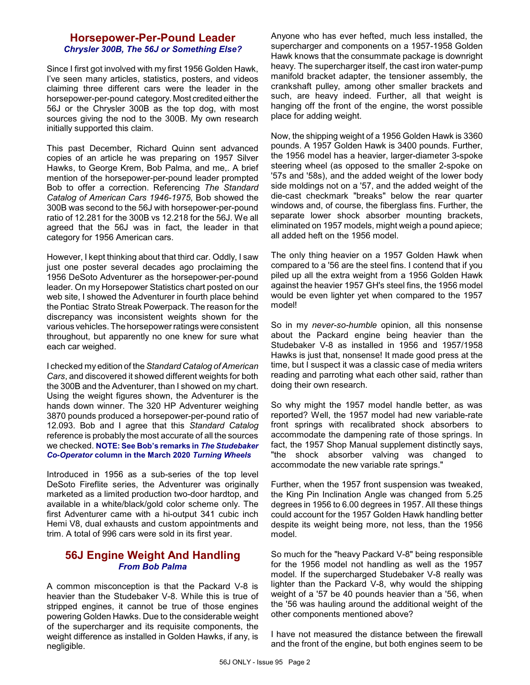### **Horsepower-Per-Pound Leader** *Chrysler 300B, The 56J or Something Else?*

Since I first got involved with my first 1956 Golden Hawk, I've seen many articles, statistics, posters, and videos claiming three different cars were the leader in the horsepower-per-pound category.Most credited either the 56J or the Chrysler 300B as the top dog, with most sources giving the nod to the 300B. My own research initially supported this claim.

This past December, Richard Quinn sent advanced copies of an article he was preparing on 1957 Silver Hawks, to George Krem, Bob Palma, and me,. A brief mention of the horsepower-per-pound leader prompted Bob to offer a correction. Referencing *The Standard Catalog of American Cars 1946-1975*, Bob showed the 300B was second to the 56J with horsepower-per-pound ratio of 12.281 for the 300B vs 12.218 for the 56J. We all agreed that the 56J was in fact, the leader in that category for 1956 American cars.

However, I kept thinking about that third car. Oddly, I saw just one poster several decades ago proclaiming the 1956 DeSoto Adventurer as the horsepower-per-pound leader. On my Horsepower Statistics chart posted on our web site, I showed the Adventurer in fourth place behind the Pontiac Strato Streak Powerpack. The reason for the discrepancy was inconsistent weights shown for the various vehicles. The horsepower ratings were consistent throughout, but apparently no one knew for sure what each car weighed.

I checked my edition of the *Standard Catalog of American Cars*, and discovered it showed different weights for both the 300B and the Adventurer, than I showed on my chart. Using the weight figures shown, the Adventurer is the hands down winner. The 320 HP Adventurer weighing 3870 pounds produced a horsepower-per-pound ratio of 12.093. Bob and I agree that this *Standard Catalog* reference is probably the most accurate of all the sources we checked. **NOTE: See Bob's remarks in** *The Studebaker Co-Operator* **column in the March 2020** *Turning Wheels*

Introduced in 1956 as a sub-series of the top level DeSoto Fireflite series, the Adventurer was originally marketed as a limited production two-door hardtop, and available in a white/black/gold color scheme only. The first Adventurer came with a hi-output 341 cubic inch Hemi V8, dual exhausts and custom appointments and trim. A total of 996 cars were sold in its first year.

# **56J Engine Weight And Handling** *From Bob Palma*

A common misconception is that the Packard V-8 is heavier than the Studebaker V-8. While this is true of stripped engines, it cannot be true of those engines powering Golden Hawks. Due to the considerable weight of the supercharger and its requisite components, the weight difference as installed in Golden Hawks, if any, is negligible.

Anyone who has ever hefted, much less installed, the supercharger and components on a 1957-1958 Golden Hawk knows that the consummate package is downright heavy. The supercharger itself, the cast iron water-pump manifold bracket adapter, the tensioner assembly, the crankshaft pulley, among other smaller brackets and such, are heavy indeed. Further, all that weight is hanging off the front of the engine, the worst possible place for adding weight.

Now, the shipping weight of a 1956 Golden Hawk is 3360 pounds. A 1957 Golden Hawk is 3400 pounds. Further, the 1956 model has a heavier, larger-diameter 3-spoke steering wheel (as opposed to the smaller 2-spoke on '57s and '58s), and the added weight of the lower body side moldings not on a '57, and the added weight of the die-cast checkmark "breaks" below the rear quarter windows and, of course, the fiberglass fins. Further, the separate lower shock absorber mounting brackets, eliminated on 1957 models, might weigh a pound apiece; all added heft on the 1956 model.

The only thing heavier on a 1957 Golden Hawk when compared to a '56 are the steel fins. I contend that if you piled up all the extra weight from a 1956 Golden Hawk against the heavier 1957 GH's steel fins, the 1956 model would be even lighter yet when compared to the 1957 model!

So in my *never-so-humble* opinion, all this nonsense about the Packard engine being heavier than the Studebaker V-8 as installed in 1956 and 1957/1958 Hawks is just that, nonsense! It made good press at the time, but I suspect it was a classic case of media writers reading and parroting what each other said, rather than doing their own research.

So why might the 1957 model handle better, as was reported? Well, the 1957 model had new variable-rate front springs with recalibrated shock absorbers to accommodate the dampening rate of those springs. In fact, the 1957 Shop Manual supplement distinctly says, "the shock absorber valving was changed to accommodate the new variable rate springs."

Further, when the 1957 front suspension was tweaked, the King Pin Inclination Angle was changed from 5.25 degrees in 1956 to 6.00 degrees in 1957. All these things could account for the 1957 Golden Hawk handling better despite its weight being more, not less, than the 1956 model.

So much for the "heavy Packard V-8" being responsible for the 1956 model not handling as well as the 1957 model. If the supercharged Studebaker V-8 really was lighter than the Packard V-8, why would the shipping weight of a '57 be 40 pounds heavier than a '56, when the '56 was hauling around the additional weight of the other components mentioned above?

I have not measured the distance between the firewall and the front of the engine, but both engines seem to be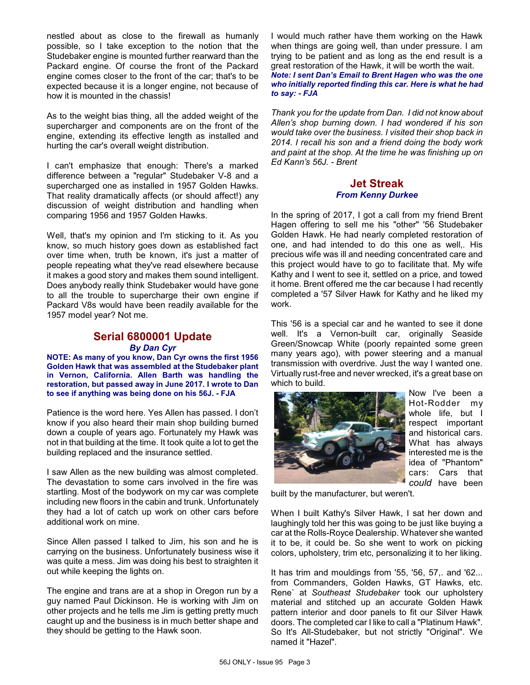nestled about as close to the firewall as humanly possible, so I take exception to the notion that the Studebaker engine is mounted further rearward than the Packard engine. Of course the front of the Packard engine comes closer to the front of the car; that's to be expected because it is a longer engine, not because of how it is mounted in the chassis!

As to the weight bias thing, all the added weight of the supercharger and components are on the front of the engine, extending its effective length as installed and hurting the car's overall weight distribution.

I can't emphasize that enough: There's a marked difference between a "regular" Studebaker V-8 and a supercharged one as installed in 1957 Golden Hawks. That reality dramatically affects (or should affect!) any discussion of weight distribution and handling when comparing 1956 and 1957 Golden Hawks.

Well, that's my opinion and I'm sticking to it. As you know, so much history goes down as established fact over time when, truth be known, it's just a matter of people repeating what they've read elsewhere because it makes a good story and makes them sound intelligent. Does anybody really think Studebaker would have gone to all the trouble to supercharge their own engine if Packard V8s would have been readily available for the 1957 model year? Not me.

# **Serial 6800001 Update** *By Dan Cyr*

**NOTE: As many of you know, Dan Cyr owns the first 1956 Golden Hawk that was assembled at the Studebaker plant in Vernon, California. Allen Barth was handling the restoration, but passed away in June 2017. I wrote to Dan to see if anything was being done on his 56J. - FJA**

Patience is the word here. Yes Allen has passed. I don't know if you also heard their main shop building burned down a couple of years ago. Fortunately my Hawk was not in that building at the time. It took quite a lot to get the building replaced and the insurance settled.

I saw Allen as the new building was almost completed. The devastation to some cars involved in the fire was startling. Most of the bodywork on my car was complete including new floors in the cabin and trunk. Unfortunately they had a lot of catch up work on other cars before additional work on mine.

Since Allen passed I talked to Jim, his son and he is carrying on the business. Unfortunately business wise it was quite a mess. Jim was doing his best to straighten it out while keeping the lights on.

The engine and trans are at a shop in Oregon run by a guy named Paul Dickinson. He is working with Jim on other projects and he tells me Jim is getting pretty much caught up and the business is in much better shape and they should be getting to the Hawk soon.

I would much rather have them working on the Hawk when things are going well, than under pressure. I am trying to be patient and as long as the end result is a great restoration of the Hawk, it will be worth the wait. *Note: I sent Dan's Email to Brent Hagen who was the one who initially reported finding this car. Here is what he had to say: - FJA*

*Thank you for the update from Dan. I did not know about Allen's shop burning down. I had wondered if his son would take over the business. I visited their shop back in 2014. I recall his son and a friend doing the body work and paint at the shop. At the time he was finishing up on Ed Kann's 56J. - Brent*

#### **Jet Streak** *From Kenny Durkee*

In the spring of 2017, I got a call from my friend Brent Hagen offering to sell me his "other" '56 Studebaker Golden Hawk. He had nearly completed restoration of one, and had intended to do this one as well,. His precious wife was ill and needing concentrated care and this project would have to go to facilitate that. My wife Kathy and I went to see it, settled on a price, and towed it home. Brent offered me the car because I had recently completed a '57 Silver Hawk for Kathy and he liked my work.

This '56 is a special car and he wanted to see it done well. It's a Vernon-built car, originally Seaside Green/Snowcap White (poorly repainted some green many years ago), with power steering and a manual transmission with overdrive. Just the way I wanted one. Virtually rust-free and never wrecked, it's a great base on which to build.



Now I've been a Hot-Rodder my whole life, but I respect important and historical cars. What has always interested me is the idea of "Phantom" cars: Cars that *could* have been

built by the manufacturer, but weren't.

When I built Kathy's Silver Hawk, I sat her down and laughingly told her this was going to be just like buying a car at the Rolls-Royce Dealership. Whatever she wanted it to be, it could be. So she went to work on picking colors, upholstery, trim etc, personalizing it to her liking.

It has trim and mouldings from '55, '56, 57,. and '62... from Commanders, Golden Hawks, GT Hawks, etc. Rene` at *Southeast Studebaker* took our upholstery material and stitched up an accurate Golden Hawk pattern interior and door panels to fit our Silver Hawk doors. The completed car I like to call a "Platinum Hawk". So It's All-Studebaker, but not strictly "Original". We named it "Hazel".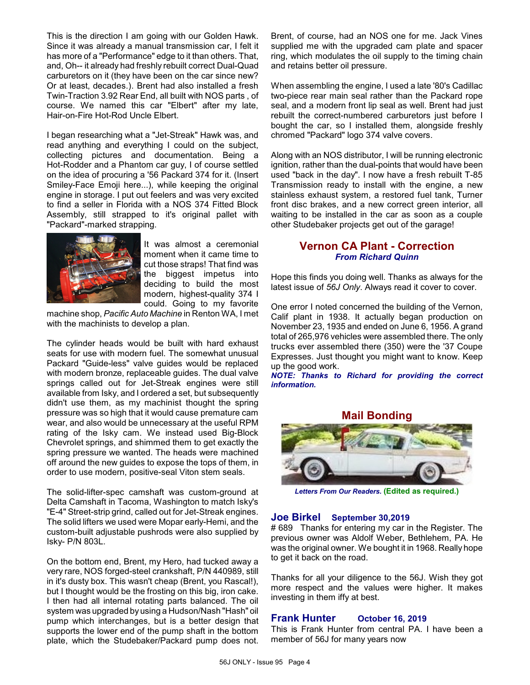This is the direction I am going with our Golden Hawk. Since it was already a manual transmission car, I felt it has more of a "Performance" edge to it than others. That, and, Oh-- it already had freshly rebuilt correct Dual-Quad carburetors on it (they have been on the car since new? Or at least, decades.). Brent had also installed a fresh Twin-Traction 3.92 Rear End, all built with NOS parts , of course. We named this car "Elbert" after my late, Hair-on-Fire Hot-Rod Uncle Elbert.

I began researching what a "Jet-Streak" Hawk was, and read anything and everything I could on the subject, collecting pictures and documentation. Being a Hot-Rodder and a Phantom car guy, I of course settled on the idea of procuring a '56 Packard 374 for it. (Insert Smiley-Face Emoji here...), while keeping the original engine in storage. I put out feelers and was very excited to find a seller in Florida with a NOS 374 Fitted Block Assembly, still strapped to it's original pallet with "Packard"-marked strapping.



It was almost a ceremonial moment when it came time to cut those straps! That find was the biggest impetus into deciding to build the most modern, highest-quality 374 I could. Going to my favorite

machine shop, *Pacific Auto Machine* in Renton WA, I met with the machinists to develop a plan.

The cylinder heads would be built with hard exhaust seats for use with modern fuel. The somewhat unusual Packard "Guide-less" valve guides would be replaced with modern bronze, replaceable guides. The dual valve springs called out for Jet-Streak engines were still available from Isky, and I ordered a set, but subsequently didn't use them, as my machinist thought the spring pressure was so high that it would cause premature cam wear, and also would be unnecessary at the useful RPM rating of the Isky cam. We instead used Big-Block Chevrolet springs, and shimmed them to get exactly the spring pressure we wanted. The heads were machined off around the new guides to expose the tops of them, in order to use modern, positive-seal Viton stem seals.

The solid-lifter-spec camshaft was custom-ground at Delta Camshaft in Tacoma, Washington to match Isky's "E-4" Street-strip grind, called out for Jet-Streak engines. The solid lifters we used were Mopar early-Hemi, and the custom-built adjustable pushrods were also supplied by Isky- P/N 803L.

On the bottom end, Brent, my Hero, had tucked away a very rare, NOS forged-steel crankshaft, P/N 440989, still in it's dusty box. This wasn't cheap (Brent, you Rascal!), but I thought would be the frosting on this big, iron cake. I then had all internal rotating parts balanced. The oil system was upgraded byusing a Hudson/Nash "Hash" oil pump which interchanges, but is a better design that supports the lower end of the pump shaft in the bottom plate, which the Studebaker/Packard pump does not. Brent, of course, had an NOS one for me. Jack Vines supplied me with the upgraded cam plate and spacer ring, which modulates the oil supply to the timing chain and retains better oil pressure.

When assembling the engine, I used a late '80's Cadillac two-piece rear main seal rather than the Packard rope seal, and a modern front lip seal as well. Brent had just rebuilt the correct-numbered carburetors just before I bought the car, so I installed them, alongside freshly chromed "Packard" logo 374 valve covers.

Along with an NOS distributor, I will be running electronic ignition, rather than the dual-points that would have been used "back in the day". I now have a fresh rebuilt T-85 Transmission ready to install with the engine, a new stainless exhaust system, a restored fuel tank, Turner front disc brakes, and a new correct green interior, all waiting to be installed in the car as soon as a couple other Studebaker projects get out of the garage!

# **Vernon CA Plant - Correction** *From Richard Quinn*

Hope this finds you doing well. Thanks as always for the latest issue of *56J Only*. Always read it cover to cover.

One error I noted concerned the building of the Vernon, Calif plant in 1938. It actually began production on November 23, 1935 and ended on June 6, 1956. A grand total of 265,976 vehicles were assembled there. The only trucks ever assembled there (350) were the '37 Coupe Expresses. Just thought you might want to know. Keep up the good work.

*NOTE: Thanks to Richard for providing the correct information.*





*Letters From Our Readers.* **(Edited as required.)**

#### **Joe Birkel September 30,2019**

# 689 Thanks for entering my car in the Register. The previous owner was Aldolf Weber, Bethlehem, PA. He was the original owner. We bought it in 1968. Really hope to get it back on the road.

Thanks for all your diligence to the 56J. Wish they got more respect and the values were higher. It makes investing in them iffy at best.

#### **Frank Hunter October 16, 2019**

This is Frank Hunter from central PA. I have been a member of 56J for many years now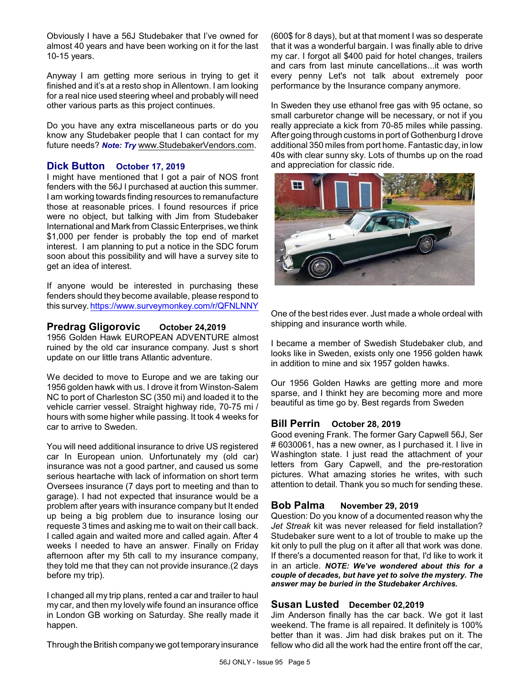Obviously I have a 56J Studebaker that I've owned for almost 40 years and have been working on it for the last 10-15 years.

Anyway I am getting more serious in trying to get it finished and it's at a resto shop in Allentown. I am looking for a real nice used steering wheel and probably will need other various parts as this project continues.

Do you have any extra miscellaneous parts or do you know any Studebaker people that I can contact for my future needs? *Note: Try* [www.StudebakerVendors.com](http://www.StudebakerVendors.com).

### **Dick Button October 17, 2019**

I might have mentioned that I got a pair of NOS front fenders with the 56J I purchased at auction this summer. I am working towards finding resources to remanufacture those at reasonable prices. I found resources if price were no object, but talking with Jim from Studebaker International and Mark from Classic Enterprises, we think \$1,000 per fender is probably the top end of market interest. I am planning to put a notice in the SDC forum soon about this possibility and will have a survey site to get an idea of interest.

If anyone would be interested in purchasing these fenders should they become available, please respond to this survey.<https://www.surveymonkey.com/r/QFNLNNY>

### **Predrag Gligorovic October 24,2019**

1956 Golden Hawk EUROPEAN ADVENTURE almost ruined by the old car insurance company. Just s short update on our little trans Atlantic adventure.

We decided to move to Europe and we are taking our 1956 golden hawk with us. I drove it from Winston-Salem NC to port of Charleston SC (350 mi) and loaded it to the vehicle carrier vessel. Straight highway ride, 70-75 mi / hours with some higher while passing. It took 4 weeks for car to arrive to Sweden.

You will need additional insurance to drive US registered car In European union. Unfortunately my (old car) insurance was not a good partner, and caused us some serious heartache with lack of information on short term Oversees insurance (7 days port to meeting and than to garage). I had not expected that insurance would be a problem after years with insurance company but It ended up being a big problem due to insurance losing our requeste 3 times and asking me to wait on their call back. I called again and waited more and called again. After 4 weeks I needed to have an answer. Finally on Friday afternoon after my 5th call to my insurance company, they told me that they can not provide insurance.(2 days before my trip).

I changed all my trip plans, rented a car and trailer to haul my car, and then my lovely wife found an insurance office in London GB working on Saturday. She really made it happen.

Through the British companywe got temporary insurance

(600\$ for 8 days), but at that moment I was so desperate that it was a wonderful bargain. I was finally able to drive my car. I forgot all \$400 paid for hotel changes, trailers and cars from last minute cancellations...it was worth every penny Let's not talk about extremely poor performance by the Insurance company anymore.

In Sweden they use ethanol free gas with 95 octane, so small carburetor change will be necessary, or not if you really appreciate a kick from 70-85 miles while passing. After going through customs in port of Gothenburg I drove additional 350 miles from port home. Fantastic day, in low 40s with clear sunny sky. Lots of thumbs up on the road and appreciation for classic ride.



One of the best rides ever. Just made a whole ordeal with shipping and insurance worth while.

I became a member of Swedish Studebaker club, and looks like in Sweden, exists only one 1956 golden hawk in addition to mine and six 1957 golden hawks.

Our 1956 Golden Hawks are getting more and more sparse, and I thinkt hey are becoming more and more beautiful as time go by. Best regards from Sweden

#### **Bill Perrin October 28, 2019**

Good evening Frank. The former Gary Capwell 56J, Ser # 6030061, has a new owner, as I purchased it. I live in Washington state. I just read the attachment of your letters from Gary Capwell, and the pre-restoration pictures. What amazing stories he writes, with such attention to detail. Thank you so much for sending these.

#### **Bob Palma November 29, 2019**

Question: Do you know of a documented reason why the *Jet Streak* kit was never released for field installation? Studebaker sure went to a lot of trouble to make up the kit only to pull the plug on it after all that work was done. If there's a documented reason for that, I'd like to work it in an article. *NOTE: We've wondered about this for a couple of decades, but have yet to solve the mystery. The answer may be buried in the Studebaker Archives.*

# **Susan Lusted December 02,2019**

Jim Anderson finally has the car back. We got it last weekend. The frame is all repaired. It definitely is 100% better than it was. Jim had disk brakes put on it. The fellow who did all the work had the entire front off the car,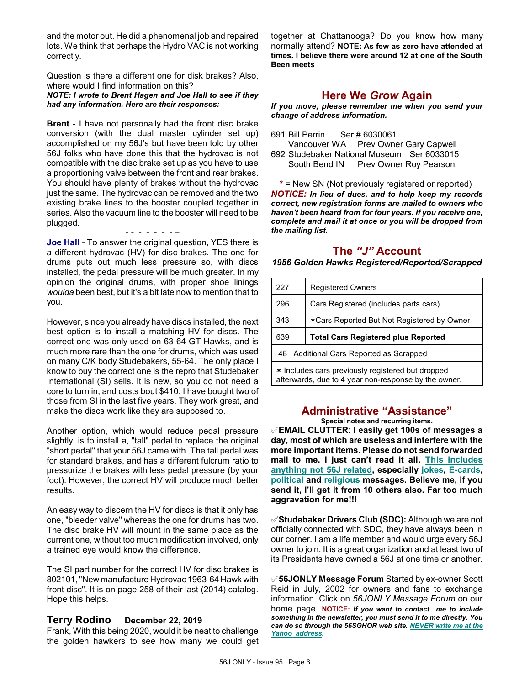and the motor out. He did a phenomenal job and repaired lots. We think that perhaps the Hydro VAC is not working correctly.

Question is there a different one for disk brakes? Also, where would I find information on this?

*NOTE: I wrote to Brent Hagen and Joe Hall to see if they had any information. Here are their responses:*

**Brent** - I have not personally had the front disc brake conversion (with the dual master cylinder set up) accomplished on my 56J's but have been told by other 56J folks who have done this that the hydrovac is not compatible with the disc brake set up as you have to use a proportioning valve between the front and rear brakes. You should have plenty of brakes without the hydrovac just the same. The hydrovac can be removed and the two existing brake lines to the booster coupled together in series. Also the vacuum line to the booster will need to be plugged.

- - - - - - - – **Joe Hall** - To answer the original question, YES there is a different hydrovac (HV) for disc brakes. The one for drums puts out much less pressure so, with discs installed, the pedal pressure will be much greater. In my opinion the original drums, with proper shoe linings *woulda* been best, but it's a bit late now to mention that to you.

However, since you already have discs installed, the next best option is to install a matching HV for discs. The correct one was only used on 63-64 GT Hawks, and is much more rare than the one for drums, which was used on many C/K body Studebakers, 55-64. The only place I know to buy the correct one is the repro that Studebaker International (SI) sells. It is new, so you do not need a core to turn in, and costs bout \$410. I have bought two of those from SI in the last five years. They work great, and make the discs work like they are supposed to.

Another option, which would reduce pedal pressure slightly, is to install a, "tall" pedal to replace the original "short pedal" that your 56J came with. The tall pedal was for standard brakes, and has a different fulcrum ratio to pressurize the brakes with less pedal pressure (by your foot). However, the correct HV will produce much better results.

An easy way to discern the HV for discs is that it only has one, "bleeder valve" whereas the one for drums has two. The disc brake HV will mount in the same place as the current one, without too much modification involved, only a trained eye would know the difference.

The SI part number for the correct HV for disc brakes is 802101, "New manufacture Hydrovac 1963-64 Hawk with front disc". It is on page 258 of their last (2014) catalog. Hope this helps.

#### **Terry Rodino December 22, 2019**

Frank, With this being 2020, would it be neat to challenge the golden hawkers to see how many we could get together at Chattanooga? Do you know how many normally attend? **NOTE: As few as zero have attended at times. I believe there were around 12 at one of the South Been meets**

# **Here We** *Grow* **Again**

*If you move, please remember me when you send your change of address information.*

691 Bill Perrin Ser # 6030061

Vancouver WA Prev Owner Gary Capwell 692 Studebaker National Museum Ser 6033015 South Bend IN Prev Owner Roy Pearson

**\*** = New SN (Not previously registered or reported) *NOTICE: In lieu of dues, and to help keep my records correct, new registration forms are mailed to owners who haven't been heard from for four years. If you receive one, complete and mail it at once or you will be dropped from the mailing list.*

# **The** *"J"* **Account**

*1956 Golden Hawks Registered/Reported/Scrapped*

| 227                                               | <b>Registered Owners</b>                   |  |
|---------------------------------------------------|--------------------------------------------|--|
| 296                                               | Cars Registered (includes parts cars)      |  |
| 343                                               | *Cars Reported But Not Registered by Owner |  |
| 639                                               | <b>Total Cars Registered plus Reported</b> |  |
| Additional Cars Reported as Scrapped<br>48        |                                            |  |
| * Includes cars previously registered but dropped |                                            |  |

afterwards, due to 4 year non-response by the owner.

# **Administrative "Assistance"**

**Special notes and recurring items.**

°**EMAIL CLUTTER**: **I easily get 100s of messages a day, most of which are useless and interfere with the more important items. Please do not send forwarded mail to me. I just can't read it all. This includes anything not 56J related, especially jokes, E-cards, political and religious messages. Believe me, if you send it, I'll get it from 10 others also. Far too much aggravation for me!!!**

°**Studebaker Drivers Club (SDC):** Although we are not officially connected with SDC, they have always been in our corner. I am a life member and would urge every 56J owner to join. It is a great organization and at least two of its Presidents have owned a 56J at one time or another.

°**56JONLY Message Forum** Started by ex-owner Scott Reid in July, 2002 for owners and fans to exchange information. Click on *56JONLY Message Forum* on our home page. **NOTICE:** *If you want to contact me to include something in the newsletter, you must send it to me directly. You can do so through the 56SGHOR web site. NEVER write me at the Yahoo address.*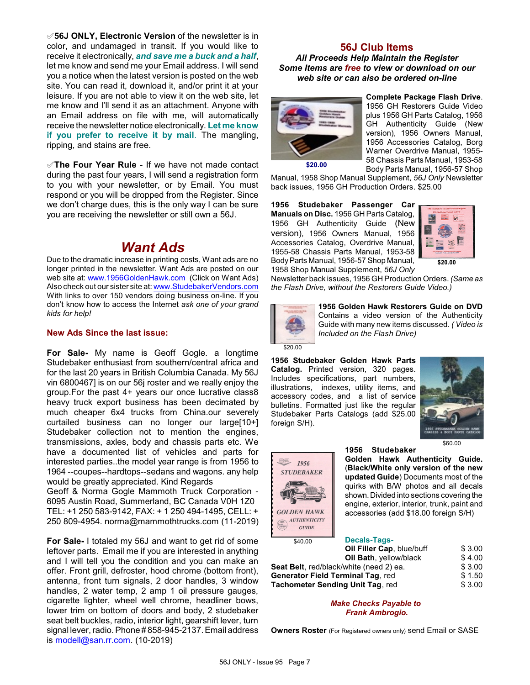°**56J ONLY, Electronic Version** of the newsletter is in color, and undamaged in transit. If you would like to receive it electronically, *and save me a buck and a half*, let me know and send me your Email address. I will send you a notice when the latest version is posted on the web site. You can read it, download it, and/or print it at your leisure. If you are not able to view it on the web site, let me know and I'll send it as an attachment. Anyone with an Email address on file with me, will automatically receive the newsletter notice electronically. **Let me know if you prefer to receive it by mail**. The mangling, ripping, and stains are free.

°**The Four Year Rule** - If we have not made contact during the past four years, I will send a registration form to you with your newsletter, or by Email. You must respond or you will be dropped from the Register. Since we don't charge dues, this is the only way I can be sure you are receiving the newsletter or still own a 56J.

# *Want Ads*

Due to the dramatic increase in printing costs, Want ads are no longer printed in the newsletter. Want Ads are posted on our web site at: [www.1956GoldenHawk.com](http://www.1956GoldenHawk.com) (Click on Want Ads) Also check out our sister site at: [www.StudebakerVendors.com](http://www.StudebakerVendors.com) With links to over 150 vendors doing business on-line. If you don't know how to access the Internet *ask one of your grand kids for help!*

#### **New Ads Since the last issue:**

**For Sale-** My name is Geoff Gogle. a longtime Studebaker enthusiast from southern/central africa and for the last 20 years in British Columbia Canada. My 56J vin 6800467] is on our 56j roster and we really enjoy the group.For the past 4+ years our once lucrative class8 heavy truck export business has been decimated by much cheaper 6x4 trucks from China.our severely curtailed business can no longer our large[10+] Studebaker collection not to mention the engines, transmissions, axles, body and chassis parts etc. We have a documented list of vehicles and parts for interested parties..the model year range is from 1956 to 1964 --coupes--hardtops--sedans and wagons. any help would be greatly appreciated. Kind Regards

Geoff & Norma Gogle Mammoth Truck Corporation - 6095 Austin Road, Summerland, BC Canada V0H 1Z0 TEL: +1 250 583-9142, FAX: + 1 250 494-1495, CELL: + 250 809-4954. norma@mammothtrucks.com (11-2019)

**For Sale-** I totaled my 56J and want to get rid of some leftover parts. Email me if you are interested in anything and I will tell you the condition and you can make an offer. Front grill, defroster, hood chrome (bottom front), antenna, front turn signals, 2 door handles, 3 window handles, 2 water temp, 2 amp 1 oil pressure gauges, cigarette lighter, wheel well chrome, headliner bows, lower trim on bottom of doors and body, 2 studebaker seat belt buckles, radio, interior light, gearshift lever, turn signal lever, radio. Phone # 858-945-2137. Email address is [modell@san.rr.com](mailto:modell@san.rr.com). (10-2019)

#### **56J Club Items** *All Proceeds Help Maintain the Register Some Items are free to view or download on our web site or can also be ordered on-line*



**Complete Package Flash Drive**. 1956 GH Restorers Guide Video plus 1956 GH Parts Catalog, 1956 GH Authenticity Guide (New version), 1956 Owners Manual, 1956 Accessories Catalog, Borg Warner Overdrive Manual, 1955- 58 Chassis Parts Manual, 1953-58 Body Parts Manual, 1956-57 Shop

Manual, 1958 Shop Manual Supplement, *56J Only* Newsletter back issues, 1956 GH Production Orders. \$25.00

**1956 Studebaker Passenger Car Manuals on Disc.** 1956 GH Parts Catalog, 1956 GH Authenticity Guide (New version), 1956 Owners Manual, 1956 Accessories Catalog, Overdrive Manual, 1955-58 Chassis Parts Manual, 1953-58 BodyParts Manual, 1956-57 Shop Manual, 1958 Shop Manual Supplement, *56J Only*



Newsletter back issues, 1956 GH Production Orders. *(Same as the Flash Drive, without the Restorers Guide Video.)*



**1956 Golden Hawk Restorers Guide on DVD** Contains a video version of the Authenticity Guide with many new items discussed. *( Video is Included on the Flash Drive)*

 $$20.00$ 

**1956 Studebaker Golden Hawk Parts Catalog.** Printed version, 320 pages. Includes specifications, part numbers, illustrations, indexes, utility items, and accessory codes, and a list of service bulletins. Formatted just like the regular Studebaker Parts Catalogs (add \$25.00 foreign S/H).



\$60.00



**1956 Studebaker Golden Hawk Authenticity Guide.** (**Black/White only version of the new updated Guide**) Documents most of the quirks with B/W photos and all decals shown.Divided into sections covering the engine, exterior, interior, trunk, paint and accessories (add \$18.00 foreign S/H)

 $$40.00$ 

| Oil Filler Cap, blue/buff                | \$3.00 |
|------------------------------------------|--------|
| Oil Bath, yellow/black                   | \$4.00 |
| Seat Belt, red/black/white (need 2) ea.  | \$3.00 |
| <b>Generator Field Terminal Tag. red</b> | \$1.50 |
| <b>Tachometer Sending Unit Tag, red</b>  | \$3.00 |

**Decals-Tags-**

*Make Checks Payable to Frank Ambrogio.*

**Owners Roster** (For Registered owners only) send Email or SASE